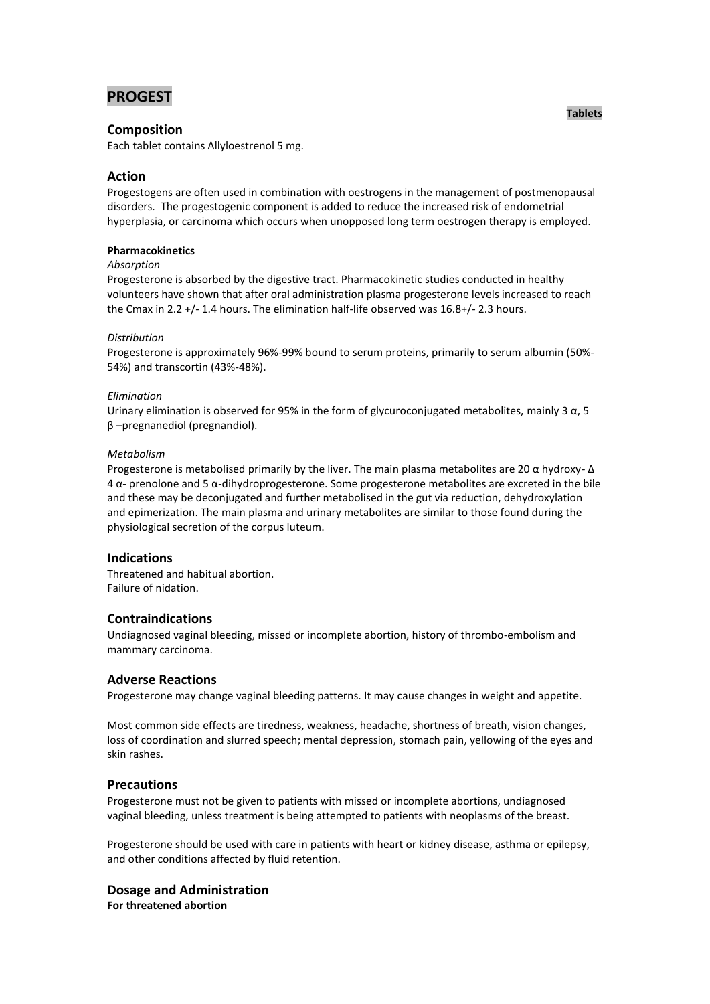# **PROGEST**

## **Composition**

Each tablet contains Allyloestrenol 5 mg.

# **Action**

Progestogens are often used in combination with oestrogens in the management of postmenopausal disorders. The progestogenic component is added to reduce the increased risk of endometrial hyperplasia, or carcinoma which occurs when unopposed long term oestrogen therapy is employed.

#### **Pharmacokinetics**

## *Absorption*

Progesterone is absorbed by the digestive tract. Pharmacokinetic studies conducted in healthy volunteers have shown that after oral administration plasma progesterone levels increased to reach the Cmax in 2.2 +/- 1.4 hours. The elimination half-life observed was 16.8+/- 2.3 hours.

#### *Distribution*

Progesterone is approximately 96%-99% bound to serum proteins, primarily to serum albumin (50%- 54%) and transcortin (43%-48%).

#### *Elimination*

Urinary elimination is observed for 95% in the form of glycuroconjugated metabolites, mainly 3  $\alpha$ , 5 β –pregnanediol (pregnandiol).

#### *Metabolism*

Progesterone is metabolised primarily by the liver. The main plasma metabolites are 20 α hydroxy- Δ 4 α- prenolone and 5 α-dihydroprogesterone. Some progesterone metabolites are excreted in the bile and these may be deconjugated and further metabolised in the gut via reduction, dehydroxylation and epimerization. The main plasma and urinary metabolites are similar to those found during the physiological secretion of the corpus luteum.

## **Indications**

Threatened and habitual abortion. Failure of nidation.

# **Contraindications**

Undiagnosed vaginal bleeding, missed or incomplete abortion, history of thrombo-embolism and mammary carcinoma.

## **Adverse Reactions**

Progesterone may change vaginal bleeding patterns. It may cause changes in weight and appetite.

Most common side effects are tiredness, weakness, headache, shortness of breath, vision changes, loss of coordination and slurred speech; mental depression, stomach pain, yellowing of the eyes and skin rashes.

## **Precautions**

Progesterone must not be given to patients with missed or incomplete abortions, undiagnosed vaginal bleeding, unless treatment is being attempted to patients with neoplasms of the breast.

Progesterone should be used with care in patients with heart or kidney disease, asthma or epilepsy, and other conditions affected by fluid retention.

#### **Dosage and Administration For threatened abortion**